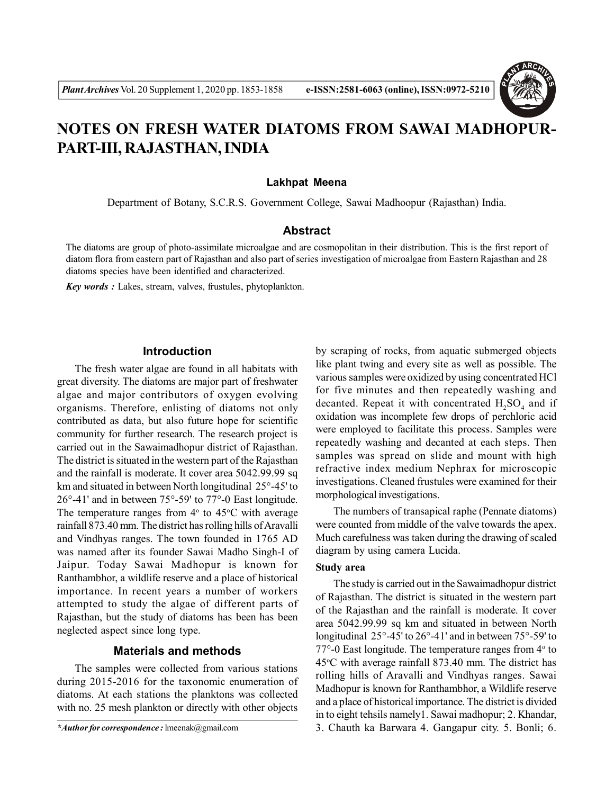

# **NOTES ON FRESH WATER DIATOMS FROM SAWAI MADHOPUR-PART-III, RAJASTHAN, INDIA**

#### **Lakhpat Meena**

Department of Botany, S.C.R.S. Government College, Sawai Madhoopur (Rajasthan) India.

#### **Abstract**

The diatoms are group of photo-assimilate microalgae and are cosmopolitan in their distribution. This is the first report of diatom flora from eastern part of Rajasthan and also part of series investigation of microalgae from Eastern Rajasthan and 28 diatoms species have been identified and characterized.

*Key words :* Lakes, stream, valves, frustules, phytoplankton.

### **Introduction**

The fresh water algae are found in all habitats with great diversity. The diatoms are major part of freshwater algae and major contributors of oxygen evolving organisms. Therefore, enlisting of diatoms not only contributed as data, but also future hope for scientific community for further research. The research project is carried out in the Sawaimadhopur district of Rajasthan. The district is situated in the western part of the Rajasthan and the rainfall is moderate. It cover area 5042.99.99 sq km and situated in between North longitudinal 25°-45' to 26°-41' and in between 75°-59' to 77°-0 East longitude. The temperature ranges from  $4^{\circ}$  to  $45^{\circ}$ C with average rainfall 873.40 mm. The district has rolling hills of Aravalli and Vindhyas ranges. The town founded in 1765 AD was named after its founder Sawai Madho Singh-I of Jaipur. Today Sawai Madhopur is known for Ranthambhor, a wildlife reserve and a place of historical importance. In recent years a number of workers attempted to study the algae of different parts of Rajasthan, but the study of diatoms has been has been neglected aspect since long type.

## **Materials and methods**

The samples were collected from various stations during 2015-2016 for the taxonomic enumeration of diatoms. At each stations the planktons was collected with no. 25 mesh plankton or directly with other objects

by scraping of rocks, from aquatic submerged objects like plant twing and every site as well as possible. The various samples were oxidized by using concentrated HCl for five minutes and then repeatedly washing and decanted. Repeat it with concentrated  $H_2SO_4$  and if oxidation was incomplete few drops of perchloric acid were employed to facilitate this process. Samples were repeatedly washing and decanted at each steps. Then samples was spread on slide and mount with high refractive index medium Nephrax for microscopic investigations. Cleaned frustules were examined for their morphological investigations.

The numbers of transapical raphe (Pennate diatoms) were counted from middle of the valve towards the apex. Much carefulness was taken during the drawing of scaled diagram by using camera Lucida.

## **Study area**

The study is carried out in the Sawaimadhopur district of Rajasthan. The district is situated in the western part of the Rajasthan and the rainfall is moderate. It cover area 5042.99.99 sq km and situated in between North longitudinal 25°-45' to 26°-41' and in between 75°-59' to  $77^{\circ}$ -0 East longitude. The temperature ranges from  $4^{\circ}$  to  $45^{\circ}$ C with average rainfall 873.40 mm. The district has rolling hills of Aravalli and Vindhyas ranges. Sawai Madhopur is known for Ranthambhor, a Wildlife reserve and a place of historical importance. The district is divided in to eight tehsils namely1. Sawai madhopur; 2. Khandar, 3. Chauth ka Barwara 4. Gangapur city. 5. Bonli; 6.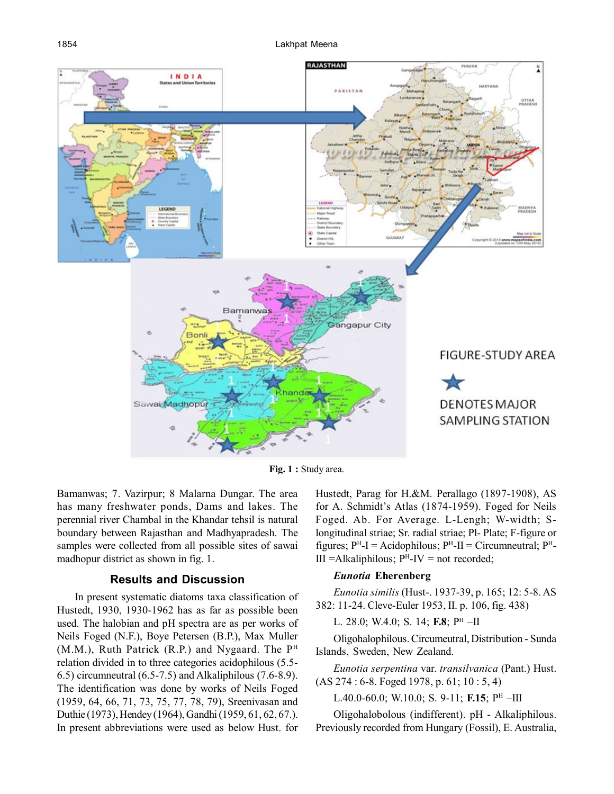

Fig. 1 : Study area.

Bamanwas; 7. Vazirpur; 8 Malarna Dungar. The area has many freshwater ponds, Dams and lakes. The perennial river Chambal in the Khandar tehsil is natural boundary between Rajasthan and Madhyapradesh. The samples were collected from all possible sites of sawai madhopur district as shown in fig. 1.

## **Results and Discussion**

In present systematic diatoms taxa classification of Hustedt, 1930, 1930-1962 has as far as possible been used. The halobian and pH spectra are as per works of Neils Foged (N.F.), Boye Petersen (B.P.), Max Muller  $(M.M.)$ , Ruth Patrick  $(R.P.)$  and Nygaard. The P<sup>H</sup> relation divided in to three categories acidophilous (5.5- 6.5) circumneutral (6.5-7.5) and Alkaliphilous (7.6-8.9). The identification was done by works of Neils Foged (1959, 64, 66, 71, 73, 75, 77, 78, 79), Sreenivasan and Duthie (1973), Hendey (1964), Gandhi (1959, 61, 62, 67.). In present abbreviations were used as below Hust. for

Hustedt, Parag for H.&M. Perallago (1897-1908), AS for A. Schmidt's Atlas (1874-1959). Foged for Neils Foged. Ab. For Average. L-Lengh; W-width; Slongitudinal striae; Sr. radial striae; Pl- Plate; F-figure or figures;  $P<sup>H</sup>-I$  = Acidophilous;  $P<sup>H</sup>-II$  = Circumneutral;  $P<sup>H</sup>-I$  $III =$ Alkaliphilous;  $P<sup>H</sup>$ -IV = not recorded;

# *Eunotia* **Eherenberg**

*Eunotia similis* (Hust-. 1937-39, p. 165; 12: 5-8. AS 382: 11-24. Cleve-Euler 1953, II. p. 106, fig. 438)

L. 28.0; W.4.0; S. 14; **F.8**; P<sup>H</sup> –II

Oligohalophilous. Circumeutral, Distribution - Sunda Islands, Sweden, New Zealand.

*Eunotia serpentina* var. *transilvanica* (Pant.) Hust. (AS 274 : 6-8. Foged 1978, p. 61; 10 : 5, 4)

L.40.0-60.0; W.10.0; S. 9-11; **F.15**; P<sup>H</sup> –III

Oligohalobolous (indifferent). pH - Alkaliphilous. Previously recorded from Hungary (Fossil), E. Australia,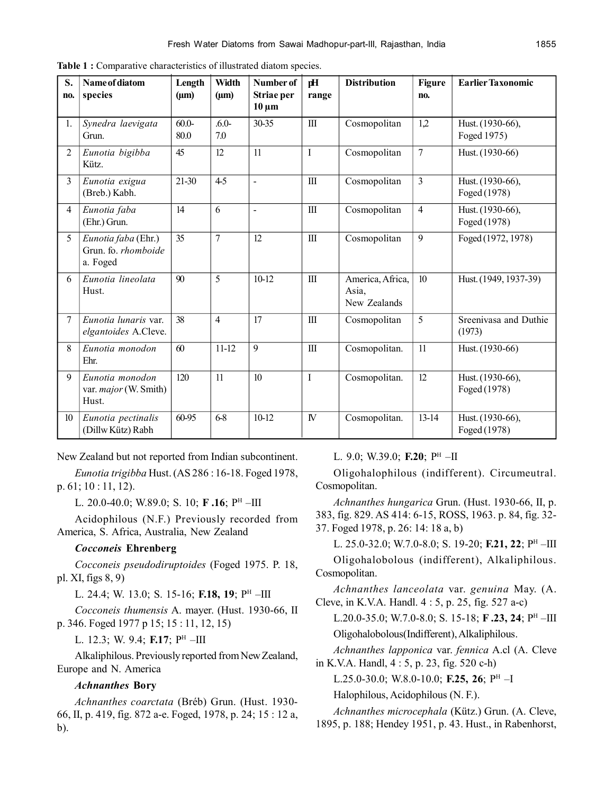| S.<br>no.      | Name of diatom<br>species                                | Length<br>$(\mu m)$ | Width<br>$(\mu m)$ | Number of<br>Striae per<br>$10 \mu m$ | pH<br>range  | <b>Distribution</b>                       | Figure<br>no.  | <b>Earlier Taxonomic</b>         |
|----------------|----------------------------------------------------------|---------------------|--------------------|---------------------------------------|--------------|-------------------------------------------|----------------|----------------------------------|
| 1.             | Synedra laevigata<br>Grun.                               | $60.0-$<br>80.0     | $.6.0-$<br>7.0     | 30-35                                 | $\mathbf{I}$ | Cosmopolitan                              | 1,2            | Hust. (1930-66),<br>Foged 1975)  |
| $\overline{2}$ | Eunotia bigibba<br>Kütz.                                 | 45                  | 12                 | 11                                    | $\mathbf{I}$ | Cosmopolitan                              | $\overline{7}$ | Hust. (1930-66)                  |
| 3              | Eunotia exigua<br>(Breb.) Kabh.                          | 21-30               | $4-5$              | $\omega$                              | $\rm III$    | Cosmopolitan                              | 3              | Hust. (1930-66),<br>Foged (1978) |
| $\overline{4}$ | Eunotia faba<br>(Ehr.) Grun.                             | 14                  | 6                  | $\blacksquare$                        | $\mathbf{I}$ | Cosmopolitan                              | $\overline{4}$ | Hust. (1930-66),<br>Foged (1978) |
| 5 <sup>1</sup> | Eunotia faba (Ehr.)<br>Grun. fo. rhomboide<br>a. Foged   | 35                  | 7                  | 12                                    | $\rm III$    | Cosmopolitan                              | 9              | Foged (1972, 1978)               |
| 6              | Eunotia lineolata<br>Hust.                               | 90                  | 5                  | 10-12                                 | $\rm III$    | America, Africa,<br>Asia,<br>New Zealands | 10             | Hust. (1949, 1937-39)            |
| $\overline{7}$ | Eunotia lunaris var.<br>elgantoides A.Cleve.             | 38                  | $\overline{4}$     | 17                                    | $\rm III$    | Cosmopolitan                              | 5              | Sreenivasa and Duthie<br>(1973)  |
| 8              | Eunotia monodon<br>Ehr.                                  | 60                  | $11 - 12$          | 9                                     | $\mathbf{I}$ | Cosmopolitan.                             | 11             | Hust. (1930-66)                  |
| 9              | Eunotia monodon<br>var. <i>major</i> (W. Smith)<br>Hust. | 120                 | 11                 | 10                                    | $\mathbf I$  | Cosmopolitan.                             | 12             | Hust. (1930-66),<br>Foged (1978) |
| 10             | Eunotia pectinalis<br>(Dillw Kütz) Rabh                  | 60-95               | 6-8                | $10-12$                               | $\mathbb N$  | Cosmopolitan.                             | $13 - 14$      | Hust. (1930-66),<br>Foged (1978) |

**Table 1 :** Comparative characteristics of illustrated diatom species.

New Zealand but not reported from Indian subcontinent.

*Eunotia trigibba* Hust. (AS 286 : 16-18. Foged 1978, p. 61; 10 : 11, 12).

L. 20.0-40.0; W.89.0; S. 10; **F .16**; P<sup>H</sup> –III

Acidophilous (N.F.) Previously recorded from America, S. Africa, Australia, New Zealand

### *Cocconeis* **Ehrenberg**

*Cocconeis pseudodiruptoides* (Foged 1975. P. 18, pl. XI, figs 8, 9)

L. 24.4; W. 13.0; S. 15-16; **F.18, 19**; P<sup>h</sup> –III

*Cocconeis thumensis* A. mayer. (Hust. 1930-66, II p. 346. Foged 1977 p 15; 15 : 11, 12, 15)

L. 12.3; W. 9.4; **F.17**; P<sup>H</sup> –III

Alkaliphilous. Previously reported from New Zealand, Europe and N. America

#### *Achnanthes* **Bory**

*Achnanthes coarctata* (Bréb) Grun. (Hust. 1930- 66, II, p. 419, fig. 872 a-e. Foged, 1978, p. 24; 15 : 12 a, b).

## L. 9.0; W.39.0; **F.20**; P<sup>H</sup> –II

Oligohalophilous (indifferent). Circumeutral. Cosmopolitan.

*Achnanthes hungarica* Grun. (Hust. 1930-66, II, p. 383, fig. 829. AS 414: 6-15, ROSS, 1963. p. 84, fig. 32- 37. Foged 1978, p. 26: 14: 18 a, b)

L. 25.0-32.0; W.7.0-8.0; S. 19-20; **F.21, 22**; P<sup>H</sup> –III Oligohalobolous (indifferent), Alkaliphilous. Cosmopolitan.

*Achnanthes lanceolata* var. *genuina* May. (A. Cleve, in K.V.A. Handl. 4 : 5, p. 25, fig. 527 a-c)

L.20.0-35.0; W.7.0-8.0; S. 15-18; **F.23, 24**; P<sup>H</sup>-III Oligohalobolous(Indifferent), Alkaliphilous.

*Achnanthes lapponica* var. *fennica* A.cl (A. Cleve in K.V.A. Handl, 4 : 5, p. 23, fig. 520 c-h)

L.25.0-30.0; W.8.0-10.0; **F.25, 26**; P<sup>H</sup> –I

Halophilous, Acidophilous (N. F.).

*Achnanthes microcephala* (Kütz.) Grun. (A. Cleve,

1895, p. 188; Hendey 1951, p. 43. Hust., in Rabenhorst,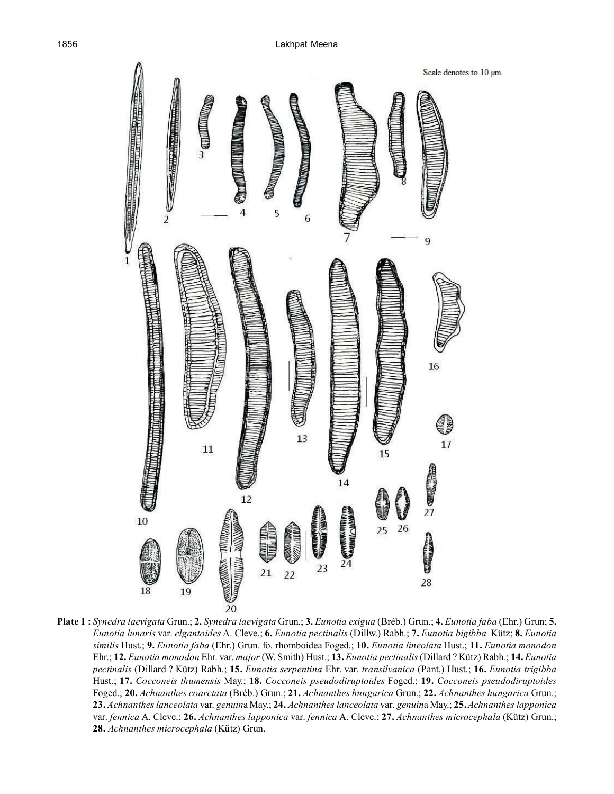

**Plate 1 :** *Synedra laevigata* Grun.; **2.** *Synedra laevigata* Grun.; **3.** *Eunotia exigua* (Bréb.) Grun.; **4.** *Eunotia faba* (Ehr.) Grun; **5.** *Eunotia lunaris* var. *elgantoides* A. Cleve.; **6.** *Eunotia pectinalis* (Dillw.) Rabh.; **7.** *Eunotia bigibba* Kütz; **8.** *Eunotia similis* Hust.; **9.** *Eunotia faba* (Ehr.) Grun. fo. rhomboidea Foged.; **10.** *Eunotia lineolata* Hust.; **11.** *Eunotia monodon* Ehr.; **12.** *Eunotia monodon* Ehr. var. *major* (W. Smith) Hust.; **13.** *Eunotia pectinalis* (Dillard ? Kütz) Rabh.; **14.** *Eunotia pectinalis* (Dillard ? Kütz) Rabh.; **15.** *Eunotia serpentina* Ehr. var. *transilvanica* (Pant.) Hust.; **16.** *Eunotia trigibba* Hust.; **17.** *Cocconeis thumensis* May.; **18.** *Cocconeis pseudodiruptoides* Foged.; **19.** *Cocconeis pseudodiruptoides* Foged.; **20.** *Achnanthes coarctata* (Bréb.) Grun.; **21.** *Achnanthes hungarica* Grun.; **22.** *Achnanthes hungarica* Grun.; **23.** *Achnanthes lanceolata* var. *genuin*a May.; **24.** *Achnanthes lanceolata* var. *genuin*a May.; **25.** *Achnanthes lapponica* var. *fennica* A. Cleve.; **26.** *Achnanthes lapponica* var. *fennica* A. Cleve.; **27.** *Achnanthes microcephala* (Kütz) Grun.; **28.** *Achnanthes microcephala* (Kütz) Grun.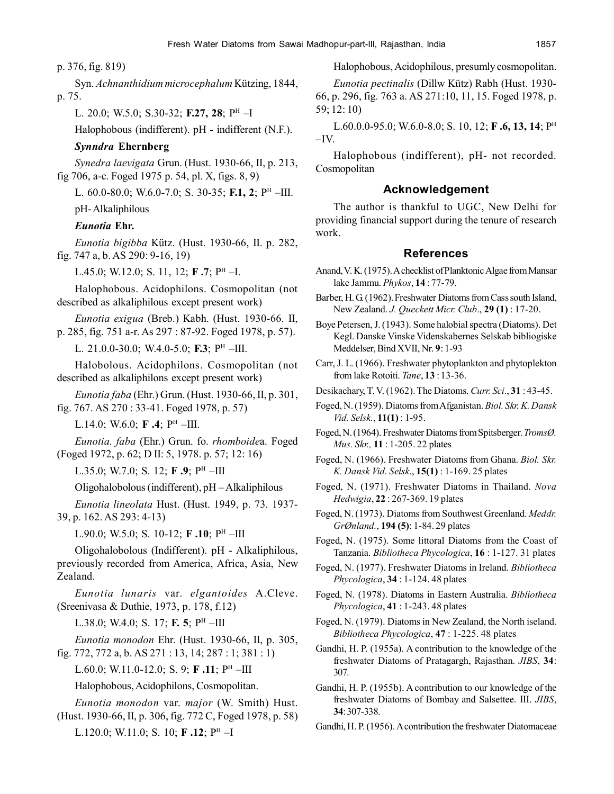p. 376, fig. 819)

Syn. *Achnanthidium microcephalum* Kützing, 1844, p. 75.

L. 20.0; W.5.0; S.30-32; **F.27, 28**; P<sup>H</sup> –I

Halophobous (indifferent). pH - indifferent (N.F.).

# *Synndra* **Ehernberg**

*Synedra laevigata* Grun. (Hust. 1930-66, II, p. 213, fig 706, a-c. Foged 1975 p. 54, pl. X, figs. 8, 9)

L. 60.0-80.0; W.6.0-7.0; S. 30-35; **F.1, 2**; P<sup>H</sup> –III.

pH- Alkaliphilous

# *Eunotia* **Ehr.**

*Eunotia bigibba* Kütz. (Hust. 1930-66, II. p. 282, fig. 747 a, b. AS 290: 9-16, 19)

L.45.0; W.12.0; S. 11, 12; **F .7**; P<sup>H</sup> –I.

Halophobous. Acidophilons. Cosmopolitan (not described as alkaliphilous except present work)

*Eunotia exigua* (Breb.) Kabh. (Hust. 1930-66. II, p. 285, fig. 751 a-r. As 297 : 87-92. Foged 1978, p. 57).

L. 21.0.0-30.0; W.4.0-5.0; **F.3**; P<sup>H</sup> –III.

Halobolous. Acidophilons. Cosmopolitan (not described as alkaliphilons except present work)

*Eunotia faba* (Ehr.) Grun. (Hust. 1930-66, II, p. 301, fig. 767. AS 270 : 33-41. Foged 1978, p. 57)

L.14.0; W.6.0; **F .4**; P<sup>H</sup> –III.

*Eunotia. faba* (Ehr.) Grun. fo. *rhomboide*a. Foged (Foged 1972, p. 62; D II: 5, 1978. p. 57; 12: 16)

L.35.0; W.7.0; S. 12; **F .9**; P<sup>H</sup> –III

Oligohalobolous (indifferent), pH – Alkaliphilous

*Eunotia lineolata* Hust. (Hust. 1949, p. 73. 1937- 39, p. 162. AS 293: 4-13)

L.90.0; W.5.0; S. 10-12; **F .10**; P<sup>H</sup> –III

Oligohalobolous (Indifferent). pH - Alkaliphilous, previously recorded from America, Africa, Asia, New Zealand.

*Eunotia lunaris* var. *elgantoides* A.Cleve. (Sreenivasa & Duthie, 1973, p. 178, f.12)

L.38.0; W.4.0; S. 17; **F. 5**; P<sup>H</sup> –III

*Eunotia monodon* Ehr. (Hust. 1930-66, II, p. 305, fig. 772, 772 a, b. AS 271 : 13, 14; 287 : 1; 381 : 1)

L.60.0; W.11.0-12.0; S. 9; **F .11**; P<sup>H</sup> –III

Halophobous, Acidophilons, Cosmopolitan.

*Eunotia monodon* var. *major* (W. Smith) Hust.

(Hust. 1930-66, II, p. 306, fig. 772 C, Foged 1978, p. 58) L.120.0; W.11.0; S. 10; **F .12**; P<sup>H</sup> –I

Halophobous, Acidophilous, presumly cosmopolitan.

*Eunotia pectinalis* (Dillw Kütz) Rabh (Hust. 1930- 66, p. 296, fig. 763 a. AS 271:10, 11, 15. Foged 1978, p. 59; 12: 10)

L.60.0.0-95.0; W.6.0-8.0; S. 10, 12; **F .6, 13, 14**; P<sup>H</sup>  $-IV$ .

Halophobous (indifferent), pH- not recorded. Cosmopolitan

### **Acknowledgement**

The author is thankful to UGC, New Delhi for providing financial support during the tenure of research work.

#### **References**

- Anand, V. K. (1975). A checklist of Planktonic Algae from Mansar lake Jammu. *Phykos*, **14** : 77-79.
- Barber, H. G. (1962). Freshwater Diatoms from Cass south Island, New Zealand. *J. Queckett Micr. Club*., **29 (1)** : 17-20.
- Boye Petersen, J. (1943). Some halobial spectra (Diatoms). Det Kegl. Danske Vinske Videnskabernes Selskab bibliogiske Meddelser, Bind XVII, Nr. **9**: 1-93
- Carr, J. L. (1966). Freshwater phytoplankton and phytoplekton from lake Rotoiti. *Tane*, **13** : 13-36.

Desikachary, T. V. (1962). The Diatoms. *Curr. Sci*., **31** : 43-45.

Foged, N. (1959). Diatoms from Afganistan. *Biol. Skr. K. Dansk Vid. Selsk.*, **11(1)** : 1-95.

Foged, N. (1964). Freshwater Diatoms from Spitsberger. *TromsØ. Mus. Skr.,* **11** : 1-205. 22 plates

Foged, N. (1966). Freshwater Diatoms from Ghana. *Biol. Skr. K. Dansk Vid. Selsk*., **15(1)** : 1-169. 25 plates

Foged, N. (1971). Freshwater Diatoms in Thailand. *Nova Hedwigia*, **22** : 267-369. 19 plates

Foged, N. (1973). Diatoms from Southwest Greenland. *Meddr. GrØnland.*, **194 (5)**: 1-84. 29 plates

Foged, N. (1975). Some littoral Diatoms from the Coast of Tanzania. *Bibliotheca Phycologica*, **16** : 1-127. 31 plates

Foged, N. (1977). Freshwater Diatoms in Ireland. *Bibliotheca Phycologica*, **34** : 1-124. 48 plates

Foged, N. (1978). Diatoms in Eastern Australia. *Bibliotheca Phycologica*, **41** : 1-243. 48 plates

Foged, N. (1979). Diatoms in New Zealand, the North iseland. *Bibliotheca Phycologica*, **47** : 1-225. 48 plates

Gandhi, H. P. (1955a). A contribution to the knowledge of the freshwater Diatoms of Pratagargh, Rajasthan. *JIBS*, **34**: 307.

Gandhi, H. P. (1955b). A contribution to our knowledge of the freshwater Diatoms of Bombay and Salsettee. III. *JIBS*, **34**: 307-338.

Gandhi, H. P. (1956). A contribution the freshwater Diatomaceae